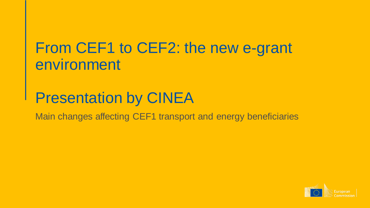#### From CEF1 to CEF2: the new e-grant environment

#### Presentation by CINEA

Main changes affecting CEF1 transport and energy beneficiaries

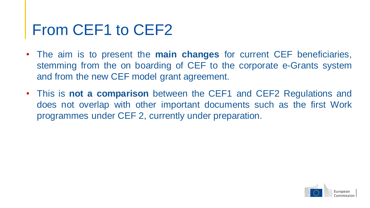## From CEF1 to CEF2

- The aim is to present the **main changes** for current CEF beneficiaries, stemming from the on boarding of CEF to the corporate e-Grants system and from the new CEF model grant agreement.
- This is **not a comparison** between the CEF1 and CEF2 Regulations and does not overlap with other important documents such as the first Work programmes under CEF 2, currently under preparation.

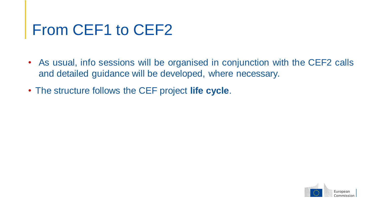## From CEF1 to CEF2

- As usual, info sessions will be organised in conjunction with the CEF2 calls and detailed guidance will be developed, where necessary.
- The structure follows the CEF project **life cycle**.

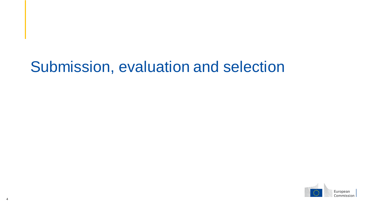## Submission, evaluation and selection

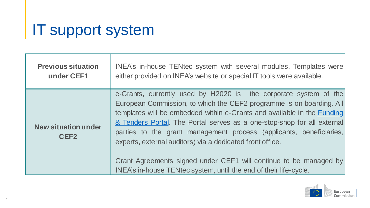# IT support system

| <b>Previous situation</b>                      | INEA's in-house TENtec system with several modules. Templates were                                                                                                                                                                                                                                                                                                                                                                                                                                                                                                                  |  |  |  |
|------------------------------------------------|-------------------------------------------------------------------------------------------------------------------------------------------------------------------------------------------------------------------------------------------------------------------------------------------------------------------------------------------------------------------------------------------------------------------------------------------------------------------------------------------------------------------------------------------------------------------------------------|--|--|--|
| under CEF1                                     | either provided on INEA's website or special IT tools were available.                                                                                                                                                                                                                                                                                                                                                                                                                                                                                                               |  |  |  |
| <b>New situation under</b><br>CEF <sub>2</sub> | e-Grants, currently used by H2020 is the corporate system of the<br>European Commission, to which the CEF2 programme is on boarding. All<br>templates will be embedded within e-Grants and available in the <b>Funding</b><br>& Tenders Portal. The Portal serves as a one-stop-shop for all external<br>parties to the grant management process (applicants, beneficiaries,<br>experts, external auditors) via a dedicated front office.<br>Grant Agreements signed under CEF1 will continue to be managed by<br>INEA's in-house TENtec system, until the end of their life-cycle. |  |  |  |

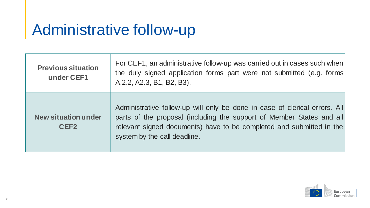## Administrative follow-up

| <b>Previous situation</b><br>under CEF1        | For CEF1, an administrative follow-up was carried out in cases such when<br>the duly signed application forms part were not submitted (e.g. forms<br>A.2.2, A2.3, B1, B2, B3).                                                                              |
|------------------------------------------------|-------------------------------------------------------------------------------------------------------------------------------------------------------------------------------------------------------------------------------------------------------------|
| <b>New situation under</b><br>CEF <sub>2</sub> | Administrative follow-up will only be done in case of clerical errors. All<br>parts of the proposal (including the support of Member States and all<br>relevant signed documents) have to be completed and submitted in the<br>system by the call deadline. |

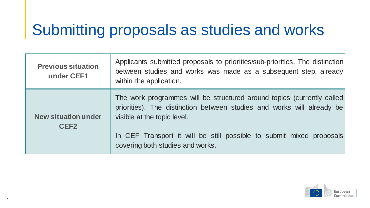## Submitting proposals as studies and works

| <b>Previous situation</b><br>under CEF1        | Applicants submitted proposals to priorities/sub-priorities. The distinction<br>between studies and works was made as a subsequent step, already<br>within the application.                                                                                                                 |
|------------------------------------------------|---------------------------------------------------------------------------------------------------------------------------------------------------------------------------------------------------------------------------------------------------------------------------------------------|
| <b>New situation under</b><br>CEF <sub>2</sub> | The work programmes will be structured around topics (currently called<br>priorities). The distinction between studies and works will already be<br>visible at the topic level.<br>In CEF Transport it will be still possible to submit mixed proposals<br>covering both studies and works. |

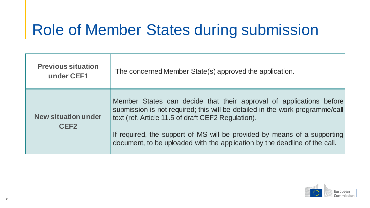## Role of Member States during submission

| <b>Previous situation</b><br>under CEF1        | The concerned Member State(s) approved the application.                                                                                                                                                                                                                                                                                                             |
|------------------------------------------------|---------------------------------------------------------------------------------------------------------------------------------------------------------------------------------------------------------------------------------------------------------------------------------------------------------------------------------------------------------------------|
| <b>New situation under</b><br>CEF <sub>2</sub> | Member States can decide that their approval of applications before<br>submission is not required; this will be detailed in the work programme/call<br>text (ref. Article 11.5 of draft CEF2 Regulation).<br>If required, the support of MS will be provided by means of a supporting<br>document, to be uploaded with the application by the deadline of the call. |

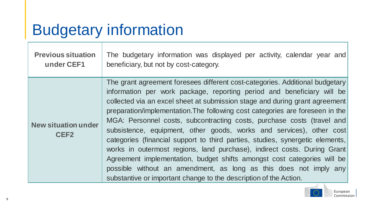# Budgetary information

| <b>Previous situation</b>                      | The budgetary information was displayed per activity, calendar year and                                                                                                                                                                                                                                                                                                                                                                                                                                                                                                                                                                                                                                                                                                                                                                                    |
|------------------------------------------------|------------------------------------------------------------------------------------------------------------------------------------------------------------------------------------------------------------------------------------------------------------------------------------------------------------------------------------------------------------------------------------------------------------------------------------------------------------------------------------------------------------------------------------------------------------------------------------------------------------------------------------------------------------------------------------------------------------------------------------------------------------------------------------------------------------------------------------------------------------|
| under CEF1                                     | beneficiary, but not by cost-category.                                                                                                                                                                                                                                                                                                                                                                                                                                                                                                                                                                                                                                                                                                                                                                                                                     |
| <b>New situation under</b><br>CEF <sub>2</sub> | The grant agreement foresees different cost-categories. Additional budgetary<br>information per work package, reporting period and beneficiary will be<br>collected via an excel sheet at submission stage and during grant agreement<br>preparation/implementation. The following cost categories are foreseen in the<br>MGA: Personnel costs, subcontracting costs, purchase costs (travel and<br>subsistence, equipment, other goods, works and services), other cost<br>categories (financial support to third parties, studies, synergetic elements,<br>works in outermost regions, land purchase), indirect costs. During Grant<br>Agreement implementation, budget shifts amongst cost categories will be<br>possible without an amendment, as long as this does not imply any<br>substantive or important change to the description of the Action. |



9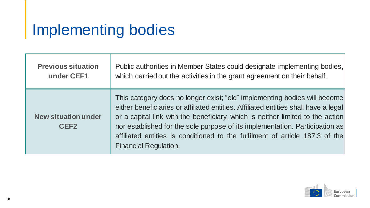## Implementing bodies

| <b>Previous situation</b>                      | Public authorities in Member States could designate implementing bodies,                                                                                                                                                                                                                                                                                                                                                                           |
|------------------------------------------------|----------------------------------------------------------------------------------------------------------------------------------------------------------------------------------------------------------------------------------------------------------------------------------------------------------------------------------------------------------------------------------------------------------------------------------------------------|
| under CEF1                                     | which carried out the activities in the grant agreement on their behalf.                                                                                                                                                                                                                                                                                                                                                                           |
| <b>New situation under</b><br>CEF <sub>2</sub> | This category does no longer exist; "old" implementing bodies will become<br>either beneficiaries or affiliated entities. Affiliated entities shall have a legal<br>or a capital link with the beneficiary, which is neither limited to the action<br>nor established for the sole purpose of its implementation. Participation as<br>affiliated entities is conditioned to the fulfilment of article 187.3 of the<br><b>Financial Regulation.</b> |

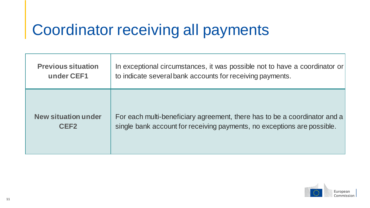## Coordinator receiving all payments

| <b>Previous situation</b>  | In exceptional circumstances, it was possible not to have a coordinator or |
|----------------------------|----------------------------------------------------------------------------|
| under CEF1                 | to indicate several bank accounts for receiving payments.                  |
| <b>New situation under</b> | For each multi-beneficiary agreement, there has to be a coordinator and a  |
| CEF <sub>2</sub>           | single bank account for receiving payments, no exceptions are possible.    |

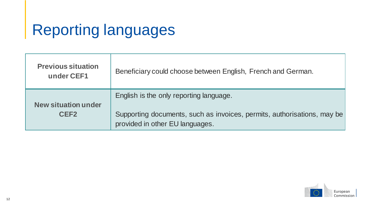# Reporting languages

| <b>Previous situation</b><br>under CEF1        | Beneficiary could choose between English, French and German.                                                                                          |
|------------------------------------------------|-------------------------------------------------------------------------------------------------------------------------------------------------------|
| <b>New situation under</b><br>CEF <sub>2</sub> | English is the only reporting language.<br>Supporting documents, such as invoices, permits, authorisations, may be<br>provided in other EU languages. |

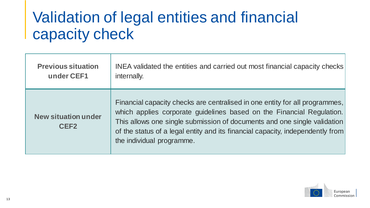## Validation of legal entities and financial capacity check

| <b>Previous situation</b>                      | <b>INEA</b> validated the entities and carried out most financial capacity checks                                                                                                                                                                                                                                                               |
|------------------------------------------------|-------------------------------------------------------------------------------------------------------------------------------------------------------------------------------------------------------------------------------------------------------------------------------------------------------------------------------------------------|
| under CEF1                                     | internally.                                                                                                                                                                                                                                                                                                                                     |
| <b>New situation under</b><br>CEF <sub>2</sub> | Financial capacity checks are centralised in one entity for all programmes,<br>which applies corporate guidelines based on the Financial Regulation.<br>This allows one single submission of documents and one single validation<br>of the status of a legal entity and its financial capacity, independently from<br>the individual programme. |

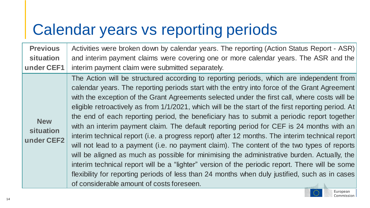## Calendar years vs reporting periods

| <b>Previous</b>   Activities were broken down by calendar years. The reporting (Action Status Report - ASR) |
|-------------------------------------------------------------------------------------------------------------|
| situation   and interim payment claims were covering one or more calendar years. The ASR and the            |
| under CEF1   interim payment claim were submitted separately.                                               |

**under CEF2** The Action will be structured according to reporting periods, which are independent from calendar years. The reporting periods start with the entry into force of the Grant Agreement with the exception of the Grant Agreements selected under the first call, where costs will be eligible retroactively as from 1/1/2021, which will be the start of the first reporting period. At the end of each reporting period, the beneficiary has to submit a periodic report together with an interim payment claim. The default reporting period for CEF is 24 months with an interim technical report (i.e. a progress report) after 12 months. The interim technical report will not lead to a payment (i.e. no payment claim). The content of the two types of reports will be aligned as much as possible for minimising the administrative burden. Actually, the interim technical report will be a "lighter" version of the periodic report. There will be some flexibility for reporting periods of less than 24 months when duly justified, such as in cases of considerable amount of costs foreseen.

European

**New** 

**situation**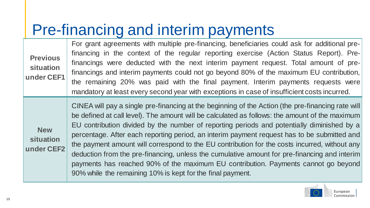## Pre-financing and interim payments

**Previous situation under CEF1** For grant agreements with multiple pre-financing, beneficiaries could ask for additional prefinancing in the context of the regular reporting exercise (Action Status Report). Prefinancings were deducted with the next interim payment request. Total amount of prefinancings and interim payments could not go beyond 80% of the maximum EU contribution, the remaining 20% was paid with the final payment. Interim payments requests were mandatory at least every second year with exceptions in case of insufficient costs incurred.

> CINEA will pay a single pre-financing at the beginning of the Action (the pre-financing rate will be defined at call level). The amount will be calculated as follows: the amount of the maximum EU contribution divided by the number of reporting periods and potentially diminished by a percentage. After each reporting period, an interim payment request has to be submitted and the payment amount will correspond to the EU contribution for the costs incurred, without any deduction from the pre-financing, unless the cumulative amount for pre-financing and interim payments has reached 90% of the maximum EU contribution. Payments cannot go beyond 90% while the remaining 10% is kept for the final payment.



**New** 

**situation** 

**under CEF2**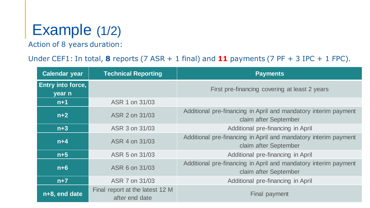## Example (1/2)

Action of 8 years duration:

#### Under CEF1: In total, **8** reports (7 ASR + 1 final) and **11** payments (7 PF + 3 IPC + 1 FPC).

| <b>Calendar year</b>               | <b>Technical Reporting</b>                        | <b>Payments</b>                                                                          |
|------------------------------------|---------------------------------------------------|------------------------------------------------------------------------------------------|
| <b>Entry into force,</b><br>year n |                                                   | First pre-financing covering at least 2 years                                            |
| $n+1$                              | ASR 1 on 31/03                                    |                                                                                          |
| $n+2$                              | ASR 2 on 31/03                                    | Additional pre-financing in April and mandatory interim payment<br>claim after September |
| $n+3$                              | ASR 3 on 31/03                                    | Additional pre-financing in April                                                        |
| $n+4$                              | ASR 4 on 31/03                                    | Additional pre-financing in April and mandatory interim payment<br>claim after September |
| $n+5$                              | ASR 5 on 31/03                                    | Additional pre-financing in April                                                        |
| $n+6$                              | ASR 6 on 31/03                                    | Additional pre-financing in April and mandatory interim payment<br>claim after September |
| $n+7$                              | ASR 7 on 31/03                                    | Additional pre-financing in April                                                        |
| n+8, end date                      | Final report at the latest 12 M<br>after end date | Final payment                                                                            |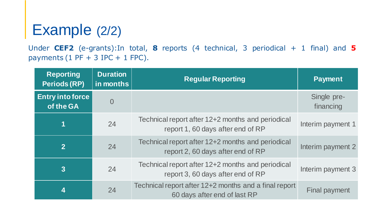#### Example (2/2)

Under **CEF2** (e-grants):In total, **8** reports (4 technical, 3 periodical + 1 final) and **5** payments  $(1$  PF + 3 IPC + 1 FPC).

| <b>Reporting</b><br><b>Periods (RP)</b> | <b>Duration</b><br>in months | <b>Regular Reporting</b>                                                               | <b>Payment</b>           |
|-----------------------------------------|------------------------------|----------------------------------------------------------------------------------------|--------------------------|
| <b>Entry into force</b><br>of the GA    | $\overline{O}$               |                                                                                        | Single pre-<br>financing |
| 1                                       | 24                           | Technical report after 12+2 months and periodical<br>report 1, 60 days after end of RP | Interim payment 1        |
| $\overline{2}$                          | 24                           | Technical report after 12+2 months and periodical<br>report 2, 60 days after end of RP | Interim payment 2        |
| $\overline{3}$                          | 24                           | Technical report after 12+2 months and periodical<br>report 3, 60 days after end of RP | Interim payment 3        |
| 4                                       | 24                           | Technical report after 12+2 months and a final report<br>60 days after end of last RP  | <b>Final payment</b>     |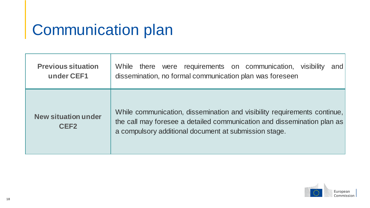## Communication plan

| <b>Previous situation</b><br>under CEF1        | requirements on communication,<br>visibility<br>While<br>there<br>were<br>and<br>dissemination, no formal communication plan was foreseen                                                                    |
|------------------------------------------------|--------------------------------------------------------------------------------------------------------------------------------------------------------------------------------------------------------------|
| <b>New situation under</b><br>CEF <sub>2</sub> | While communication, dissemination and visibility requirements continue,<br>the call may foresee a detailed communication and dissemination plan as<br>a compulsory additional document at submission stage. |

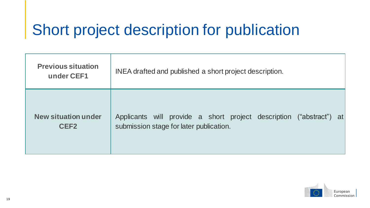## Short project description for publication

| <b>Previous situation</b><br>under CEF1        | INEA drafted and published a short project description.                                                           |  |  |
|------------------------------------------------|-------------------------------------------------------------------------------------------------------------------|--|--|
| <b>New situation under</b><br>CEF <sub>2</sub> | Applicants will provide a short project description ("abstract")<br>at<br>submission stage for later publication. |  |  |

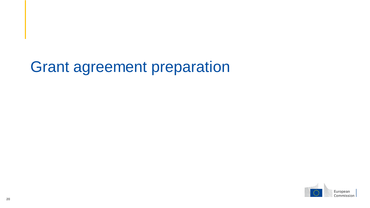## Grant agreement preparation

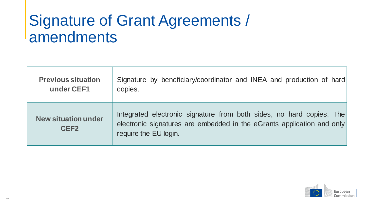## Signature of Grant Agreements / amendments

| <b>Previous situation</b>                      | Signature by beneficiary/coordinator and INEA and production of hard                                                                                                    |
|------------------------------------------------|-------------------------------------------------------------------------------------------------------------------------------------------------------------------------|
| under CEF1                                     | copies.                                                                                                                                                                 |
| <b>New situation under</b><br>CEF <sub>2</sub> | Integrated electronic signature from both sides, no hard copies. The<br>electronic signatures are embedded in the eGrants application and only<br>require the EU login. |

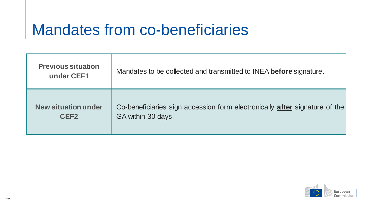#### Mandates from co-beneficiaries

| <b>Previous situation</b><br>under CEF1 | Mandates to be collected and transmitted to INEA before signature.                |
|-----------------------------------------|-----------------------------------------------------------------------------------|
| <b>New situation under</b>              | Co-beneficiaries sign accession form electronically <b>after</b> signature of the |
| CEF <sub>2</sub>                        | GA within 30 days.                                                                |

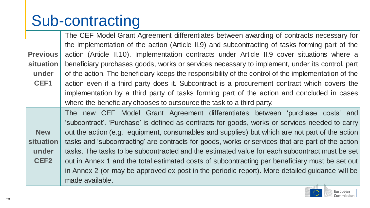# Sub-contracting

|                 | The CEF Model Grant Agreement differentiates between awarding of contracts necessary for            |
|-----------------|-----------------------------------------------------------------------------------------------------|
|                 | the implementation of the action (Article II.9) and subcontracting of tasks forming part of the     |
| <b>Previous</b> | action (Article II.10). Implementation contracts under Article II.9 cover situations where a        |
| situation       | beneficiary purchases goods, works or services necessary to implement, under its control, part      |
| under           | of the action. The beneficiary keeps the responsibility of the control of the implementation of the |
| CEF1            | action even if a third party does it. Subcontract is a procurement contract which covers the        |
|                 | implementation by a third party of tasks forming part of the action and concluded in cases          |
|                 | where the beneficiary chooses to outsource the task to a third party.                               |
|                 |                                                                                                     |
|                 | The new CEF Model Grant Agreement differentiates between 'purchase costs' and                       |
|                 | 'subcontract'. 'Purchase' is defined as contracts for goods, works or services needed to carry      |
| <b>New</b>      | out the action (e.g. equipment, consumables and supplies) but which are not part of the action      |
| situation       | tasks and 'subcontracting' are contracts for goods, works or services that are part of the action   |
| under           | tasks. The tasks to be subcontracted and the estimated value for each subcontract must be set       |
| CEF2            | out in Annex 1 and the total estimated costs of subcontracting per beneficiary must be set out      |
|                 | in Annex 2 (or may be approved ex post in the periodic report). More detailed guidance will be      |



23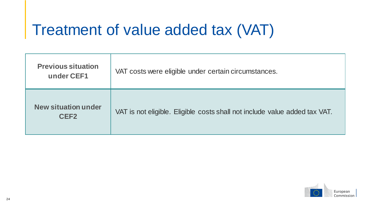## Treatment of value added tax (VAT)

| <b>Previous situation</b><br>under CEF1        | VAT costs were eligible under certain circumstances.                       |  |
|------------------------------------------------|----------------------------------------------------------------------------|--|
| <b>New situation under</b><br>CEF <sub>2</sub> | VAT is not eligible. Eligible costs shall not include value added tax VAT. |  |

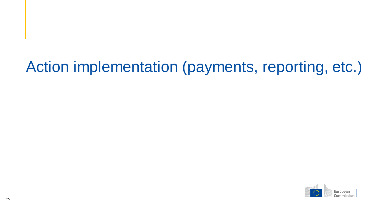# Action implementation (payments, reporting, etc.)

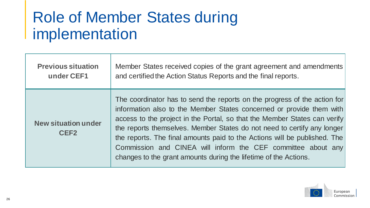## Role of Member States during implementation

| <b>Previous situation</b>                      | Member States received copies of the grant agreement and amendments                                                                                                                                                                                                                                                                                                                                                                                                                                                        |  |  |
|------------------------------------------------|----------------------------------------------------------------------------------------------------------------------------------------------------------------------------------------------------------------------------------------------------------------------------------------------------------------------------------------------------------------------------------------------------------------------------------------------------------------------------------------------------------------------------|--|--|
| under CEF1                                     | and certified the Action Status Reports and the final reports.                                                                                                                                                                                                                                                                                                                                                                                                                                                             |  |  |
| <b>New situation under</b><br>CEF <sub>2</sub> | The coordinator has to send the reports on the progress of the action for<br>information also to the Member States concerned or provide them with<br>access to the project in the Portal, so that the Member States can verify<br>the reports themselves. Member States do not need to certify any longer<br>the reports. The final amounts paid to the Actions will be published. The<br>Commission and CINEA will inform the CEF committee about any<br>changes to the grant amounts during the lifetime of the Actions. |  |  |

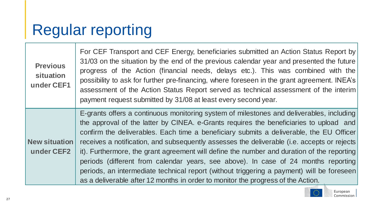# Regular reporting

| <b>Previous</b><br><b>situation</b><br>under CEF1 | For CEF Transport and CEF Energy, beneficiaries submitted an Action Status Report by<br>31/03 on the situation by the end of the previous calendar year and presented the future<br>progress of the Action (financial needs, delays etc.). This was combined with the<br>possibility to ask for further pre-financing, where foreseen in the grant agreement. INEA's<br>assessment of the Action Status Report served as technical assessment of the interim<br>payment request submitted by 31/08 at least every second year.                                                                                                                                                                                                                    |
|---------------------------------------------------|---------------------------------------------------------------------------------------------------------------------------------------------------------------------------------------------------------------------------------------------------------------------------------------------------------------------------------------------------------------------------------------------------------------------------------------------------------------------------------------------------------------------------------------------------------------------------------------------------------------------------------------------------------------------------------------------------------------------------------------------------|
| <b>New situation</b><br>under CEF2                | E-grants offers a continuous monitoring system of milestones and deliverables, including<br>the approval of the latter by CINEA. e-Grants requires the beneficiaries to upload and<br>confirm the deliverables. Each time a beneficiary submits a deliverable, the EU Officer<br>receives a notification, and subsequently assesses the deliverable (i.e. accepts or rejects<br>it). Furthermore, the grant agreement will define the number and duration of the reporting<br>periods (different from calendar years, see above). In case of 24 months reporting<br>periods, an intermediate technical report (without triggering a payment) will be foreseen<br>as a deliverable after 12 months in order to monitor the progress of the Action. |

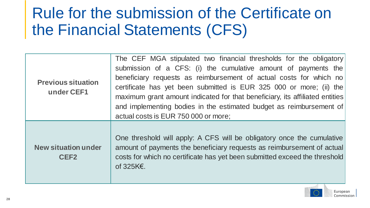## Rule for the submission of the Certificate on the Financial Statements (CFS)

| <b>Previous situation</b><br>under CEF1        | The CEF MGA stipulated two financial thresholds for the obligatory<br>submission of a CFS: (i) the cumulative amount of payments the<br>beneficiary requests as reimbursement of actual costs for which no<br>certificate has yet been submitted is EUR 325 000 or more; (ii) the<br>maximum grant amount indicated for that beneficiary, its affiliated entities<br>and implementing bodies in the estimated budget as reimbursement of<br>actual costs is EUR 750 000 or more; |
|------------------------------------------------|----------------------------------------------------------------------------------------------------------------------------------------------------------------------------------------------------------------------------------------------------------------------------------------------------------------------------------------------------------------------------------------------------------------------------------------------------------------------------------|
| <b>New situation under</b><br>CEF <sub>2</sub> | One threshold will apply: A CFS will be obligatory once the cumulative<br>amount of payments the beneficiary requests as reimbursement of actual<br>costs for which no certificate has yet been submitted exceed the threshold<br>of $325K\epsilon$ .                                                                                                                                                                                                                            |

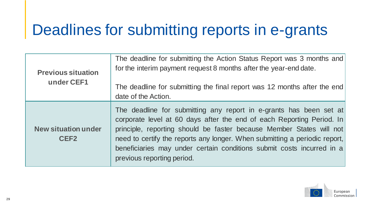## Deadlines for submitting reports in e-grants

| <b>Previous situation</b><br>under CEF1        | The deadline for submitting the Action Status Report was 3 months and<br>for the interim payment request 8 months after the year-end date.                                                                                                                                                                                                                                                               |  |  |
|------------------------------------------------|----------------------------------------------------------------------------------------------------------------------------------------------------------------------------------------------------------------------------------------------------------------------------------------------------------------------------------------------------------------------------------------------------------|--|--|
|                                                | The deadline for submitting the final report was 12 months after the end<br>date of the Action.                                                                                                                                                                                                                                                                                                          |  |  |
| <b>New situation under</b><br>CEF <sub>2</sub> | The deadline for submitting any report in e-grants has been set at<br>corporate level at 60 days after the end of each Reporting Period. In<br>principle, reporting should be faster because Member States will not<br>need to certify the reports any longer. When submitting a periodic report,<br>beneficiaries may under certain conditions submit costs incurred in a<br>previous reporting period. |  |  |

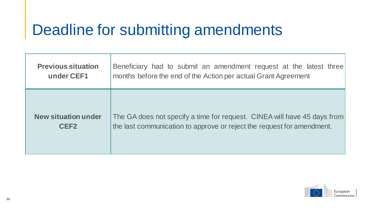## Deadline for submitting amendments

| <b>Previous situation</b>  | Beneficiary had to submit an amendment request at the latest three       |
|----------------------------|--------------------------------------------------------------------------|
| under CEF1                 | months before the end of the Action per actual Grant Agreement           |
| <b>New situation under</b> | The GA does not specify a time for request. CINEA will have 45 days from |
| CEF <sub>2</sub>           | the last communication to approve or reject the request for amendment.   |